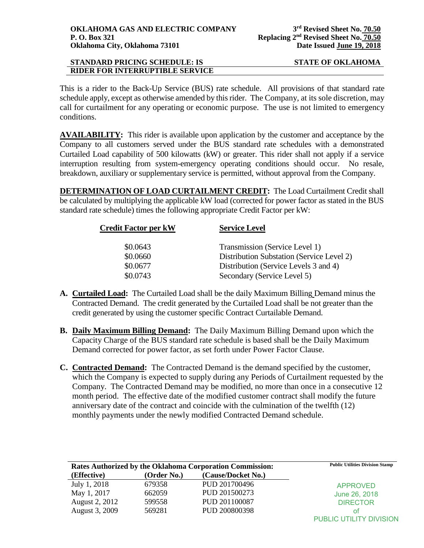# **STANDARD PRICING SCHEDULE: IS STATE OF OKLAHOMA RIDER FOR INTERRUPTIBLE SERVICE**

This is a rider to the Back-Up Service (BUS) rate schedule. All provisions of that standard rate schedule apply, except as otherwise amended by this rider. The Company, at its sole discretion, may call for curtailment for any operating or economic purpose. The use is not limited to emergency conditions.

**AVAILABILITY:** This rider is available upon application by the customer and acceptance by the Company to all customers served under the BUS standard rate schedules with a demonstrated Curtailed Load capability of 500 kilowatts (kW) or greater. This rider shall not apply if a service interruption resulting from system-emergency operating conditions should occur. No resale, breakdown, auxiliary or supplementary service is permitted, without approval from the Company.

**DETERMINATION OF LOAD CURTAILMENT CREDIT:** The Load Curtailment Credit shall be calculated by multiplying the applicable kW load (corrected for power factor as stated in the BUS standard rate schedule) times the following appropriate Credit Factor per kW:

| <b>Credit Factor per kW</b> | <b>Service Level</b>                      |  |
|-----------------------------|-------------------------------------------|--|
| \$0.0643                    | Transmission (Service Level 1)            |  |
| \$0.0660                    | Distribution Substation (Service Level 2) |  |
| \$0.0677                    | Distribution (Service Levels 3 and 4)     |  |
| \$0.0743                    | Secondary (Service Level 5)               |  |

- **A. Curtailed Load:** The Curtailed Load shall be the daily Maximum Billing Demand minus the Contracted Demand. The credit generated by the Curtailed Load shall be not greater than the credit generated by using the customer specific Contract Curtailable Demand.
- **B. Daily Maximum Billing Demand:** The Daily Maximum Billing Demand upon which the Capacity Charge of the BUS standard rate schedule is based shall be the Daily Maximum Demand corrected for power factor, as set forth under Power Factor Clause.
- **C. Contracted Demand:** The Contracted Demand is the demand specified by the customer, which the Company is expected to supply during any Periods of Curtailment requested by the Company. The Contracted Demand may be modified, no more than once in a consecutive 12 month period. The effective date of the modified customer contract shall modify the future anniversary date of the contract and coincide with the culmination of the twelfth (12) monthly payments under the newly modified Contracted Demand schedule.

| <b>Rates Authorized by the Oklahoma Corporation Commission:</b> |             |                    | <b>Public Utilities Division Stamp</b> |
|-----------------------------------------------------------------|-------------|--------------------|----------------------------------------|
| (Effective)                                                     | (Order No.) | (Cause/Docket No.) |                                        |
| July 1, 2018                                                    | 679358      | PUD 201700496      | <b>APPROVED</b>                        |
| May 1, 2017                                                     | 662059      | PUD 201500273      | June 26, 2018                          |
| August 2, 2012                                                  | 599558      | PUD 201100087      | <b>DIRECTOR</b>                        |
| August 3, 2009                                                  | 569281      | PUD 200800398      | ΩŤ                                     |
|                                                                 |             |                    | PUBLIC UTILITY DIVISION                |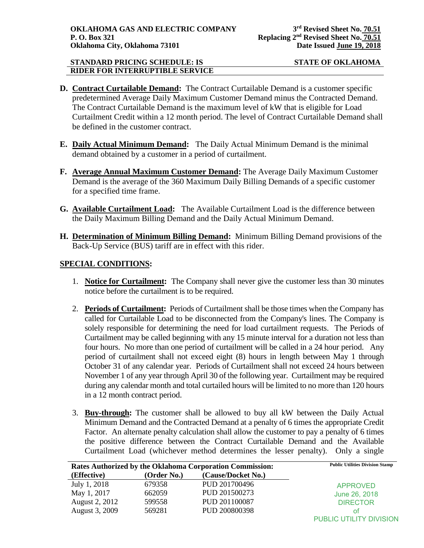## **STANDARD PRICING SCHEDULE: IS STATE OF OKLAHOMA RIDER FOR INTERRUPTIBLE SERVICE**

- **D. Contract Curtailable Demand:** The Contract Curtailable Demand is a customer specific predetermined Average Daily Maximum Customer Demand minus the Contracted Demand. The Contract Curtailable Demand is the maximum level of kW that is eligible for Load Curtailment Credit within a 12 month period. The level of Contract Curtailable Demand shall be defined in the customer contract.
- **E. Daily Actual Minimum Demand:** The Daily Actual Minimum Demand is the minimal demand obtained by a customer in a period of curtailment.
- **F. Average Annual Maximum Customer Demand:** The Average Daily Maximum Customer Demand is the average of the 360 Maximum Daily Billing Demands of a specific customer for a specified time frame.
- **G. Available Curtailment Load:** The Available Curtailment Load is the difference between the Daily Maximum Billing Demand and the Daily Actual Minimum Demand.
- **H. Determination of Minimum Billing Demand:** Minimum Billing Demand provisions of the Back-Up Service (BUS) tariff are in effect with this rider.

## **SPECIAL CONDITIONS:**

- 1. **Notice for Curtailment:** The Company shall never give the customer less than 30 minutes notice before the curtailment is to be required.
- 2. **Periods of Curtailment:** Periods of Curtailment shall be those times when the Company has called for Curtailable Load to be disconnected from the Company's lines. The Company is solely responsible for determining the need for load curtailment requests. The Periods of Curtailment may be called beginning with any 15 minute interval for a duration not less than four hours. No more than one period of curtailment will be called in a 24 hour period. Any period of curtailment shall not exceed eight (8) hours in length between May 1 through October 31 of any calendar year. Periods of Curtailment shall not exceed 24 hours between November 1 of any year through April 30 of the following year. Curtailment may be required during any calendar month and total curtailed hours will be limited to no more than 120 hours in a 12 month contract period.
- 3. **Buy-through:** The customer shall be allowed to buy all kW between the Daily Actual Minimum Demand and the Contracted Demand at a penalty of 6 times the appropriate Credit Factor. An alternate penalty calculation shall allow the customer to pay a penalty of 6 times the positive difference between the Contract Curtailable Demand and the Available Curtailment Load (whichever method determines the lesser penalty). Only a single

| Rates Authorized by the Oklahoma Corporation Commission: |             |                    | <b>Public Utilities Division Stamp</b> |
|----------------------------------------------------------|-------------|--------------------|----------------------------------------|
| (Effective)                                              | (Order No.) | (Cause/Docket No.) |                                        |
| July 1, 2018                                             | 679358      | PUD 201700496      | <b>APPROVED</b>                        |
| May 1, 2017                                              | 662059      | PUD 201500273      | June 26, 2018                          |
| August 2, 2012                                           | 599558      | PUD 201100087      | <b>DIRECTOR</b>                        |
| August 3, 2009                                           | 569281      | PUD 200800398      | Ωt                                     |
|                                                          |             |                    | <b>PUBLIC UTILITY DIVISION</b>         |